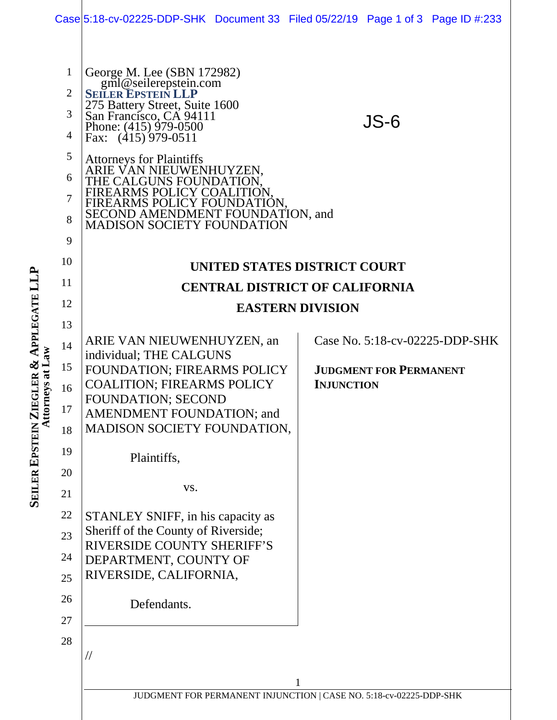|                      |                                                              | Case 5:18-cv-02225-DDP-SHK Document 33 Filed 05/22/19 Page 1 of 3 Page ID #:233                                                                                                                                                                                                                                                                                                                          |  |                   |                               |                                |  |
|----------------------|--------------------------------------------------------------|----------------------------------------------------------------------------------------------------------------------------------------------------------------------------------------------------------------------------------------------------------------------------------------------------------------------------------------------------------------------------------------------------------|--|-------------------|-------------------------------|--------------------------------|--|
|                      | $\mathbf{1}$<br>$\overline{2}$<br>3<br>4<br>5<br>6<br>7<br>8 | George M. Lee (SBN 172982)<br>gml@seilerepstein.com<br>SEILER EPSTEIN LLP<br>275 Battery Street, Suite 1600<br>San Francisco, CA 94111<br>Phone: (415) 979-0500<br>Fax: $(415)$ 979-0511<br><b>Attorneys for Plaintiffs</b><br>ARIE VAN NIEUWENHUYZEN,<br>THE CALGUNS FOUNDATION<br>FIREARMS POLICY COA<br>FIREARMS POLICY FOUNDATION,<br>SECOND AMENDMENT FOUNDATION, and<br>MADISON SOCIETY FOUNDATION |  |                   | JS-6                          |                                |  |
|                      | 9<br>10                                                      |                                                                                                                                                                                                                                                                                                                                                                                                          |  |                   |                               |                                |  |
|                      | 11                                                           | UNITED STATES DISTRICT COURT                                                                                                                                                                                                                                                                                                                                                                             |  |                   |                               |                                |  |
|                      | 12                                                           | <b>CENTRAL DISTRICT OF CALIFORNIA</b><br><b>EASTERN DIVISION</b>                                                                                                                                                                                                                                                                                                                                         |  |                   |                               |                                |  |
|                      | 13                                                           |                                                                                                                                                                                                                                                                                                                                                                                                          |  |                   |                               |                                |  |
| rneys at Law<br>Atto | 14                                                           | ARIE VAN NIEUWENHUYZEN, an                                                                                                                                                                                                                                                                                                                                                                               |  |                   |                               | Case No. 5:18-cv-02225-DDP-SHK |  |
|                      | 15                                                           | individual; THE CALGUNS<br>FOUNDATION; FIREARMS POLICY                                                                                                                                                                                                                                                                                                                                                   |  |                   | <b>JUDGMENT FOR PERMANENT</b> |                                |  |
|                      | 16                                                           | <b>COALITION; FIREARMS POLICY</b>                                                                                                                                                                                                                                                                                                                                                                        |  | <b>INJUNCTION</b> |                               |                                |  |
|                      | 17                                                           | <b>FOUNDATION; SECOND</b><br>AMENDMENT FOUNDATION; and                                                                                                                                                                                                                                                                                                                                                   |  |                   |                               |                                |  |
|                      | 18                                                           | MADISON SOCIETY FOUNDATION,                                                                                                                                                                                                                                                                                                                                                                              |  |                   |                               |                                |  |
|                      | 19                                                           | Plaintiffs,                                                                                                                                                                                                                                                                                                                                                                                              |  |                   |                               |                                |  |
|                      | 20                                                           |                                                                                                                                                                                                                                                                                                                                                                                                          |  |                   |                               |                                |  |
|                      | 21                                                           | VS.                                                                                                                                                                                                                                                                                                                                                                                                      |  |                   |                               |                                |  |
|                      | 22                                                           | STANLEY SNIFF, in his capacity as                                                                                                                                                                                                                                                                                                                                                                        |  |                   |                               |                                |  |
|                      | 23                                                           | Sheriff of the County of Riverside;<br><b>RIVERSIDE COUNTY SHERIFF'S</b>                                                                                                                                                                                                                                                                                                                                 |  |                   |                               |                                |  |
|                      | 24                                                           | DEPARTMENT, COUNTY OF                                                                                                                                                                                                                                                                                                                                                                                    |  |                   |                               |                                |  |
|                      | 25                                                           | RIVERSIDE, CALIFORNIA,                                                                                                                                                                                                                                                                                                                                                                                   |  |                   |                               |                                |  |
|                      | 26                                                           | Defendants.                                                                                                                                                                                                                                                                                                                                                                                              |  |                   |                               |                                |  |
|                      | 27                                                           |                                                                                                                                                                                                                                                                                                                                                                                                          |  |                   |                               |                                |  |
|                      | 28                                                           | $\frac{1}{2}$<br>JUDGMENT FOR PERMANENT INJUNCTION   CASE NO. 5:18-cv-02225-DDP-SHK                                                                                                                                                                                                                                                                                                                      |  |                   |                               |                                |  |

**SEILER EPSTEIN ZIEGLER & APPLEGATE LLP**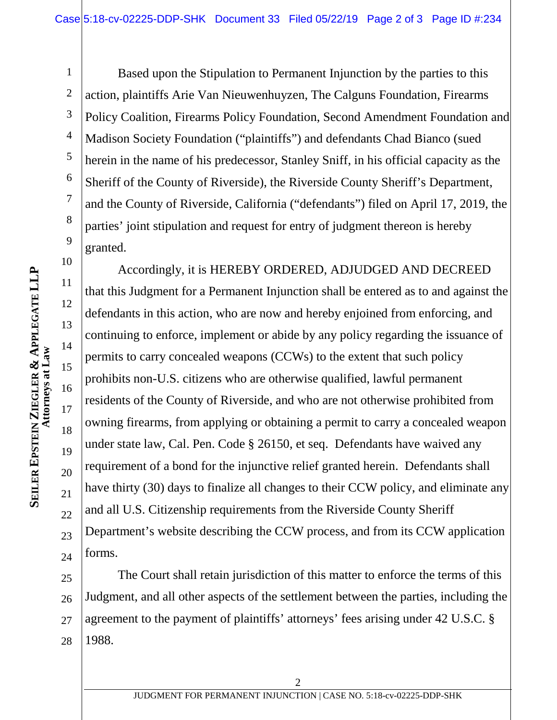10

11

12

13

14

15

16

17

18

19

20

21

22

23

24

1 2 3 4 5 6 7 8 9 Based upon the Stipulation to Permanent Injunction by the parties to this action, plaintiffs Arie Van Nieuwenhuyzen, The Calguns Foundation, Firearms Policy Coalition, Firearms Policy Foundation, Second Amendment Foundation and Madison Society Foundation ("plaintiffs") and defendants Chad Bianco (sued herein in the name of his predecessor, Stanley Sniff, in his official capacity as the Sheriff of the County of Riverside), the Riverside County Sheriff's Department, and the County of Riverside, California ("defendants") filed on April 17, 2019, the parties' joint stipulation and request for entry of judgment thereon is hereby granted.

Accordingly, it is HEREBY ORDERED, ADJUDGED AND DECREED that this Judgment for a Permanent Injunction shall be entered as to and against the defendants in this action, who are now and hereby enjoined from enforcing, and continuing to enforce, implement or abide by any policy regarding the issuance of permits to carry concealed weapons (CCWs) to the extent that such policy prohibits non-U.S. citizens who are otherwise qualified, lawful permanent residents of the County of Riverside, and who are not otherwise prohibited from owning firearms, from applying or obtaining a permit to carry a concealed weapon under state law, Cal. Pen. Code § 26150, et seq. Defendants have waived any requirement of a bond for the injunctive relief granted herein. Defendants shall have thirty (30) days to finalize all changes to their CCW policy, and eliminate any and all U.S. Citizenship requirements from the Riverside County Sheriff Department's website describing the CCW process, and from its CCW application forms.

25 26 27 28 The Court shall retain jurisdiction of this matter to enforce the terms of this Judgment, and all other aspects of the settlement between the parties, including the agreement to the payment of plaintiffs' attorneys' fees arising under 42 U.S.C. § 1988.